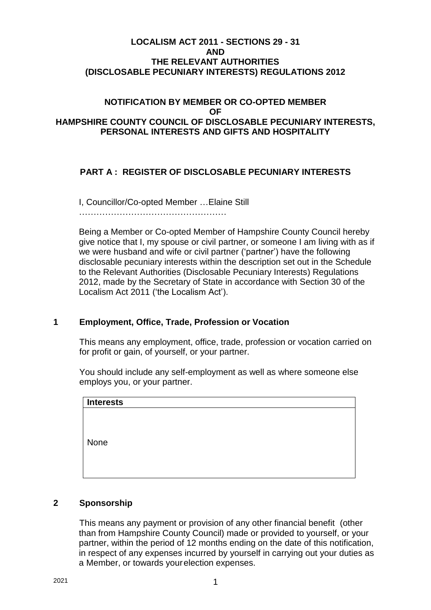### **LOCALISM ACT 2011 - SECTIONS 29 - 31 AND THE RELEVANT AUTHORITIES (DISCLOSABLE PECUNIARY INTERESTS) REGULATIONS 2012**

### **NOTIFICATION BY MEMBER OR CO-OPTED MEMBER OF HAMPSHIRE COUNTY COUNCIL OF DISCLOSABLE PECUNIARY INTERESTS, PERSONAL INTERESTS AND GIFTS AND HOSPITALITY**

# **PART A : REGISTER OF DISCLOSABLE PECUNIARY INTERESTS**

I, Councillor/Co-opted Member …Elaine Still

……………………………………………

Being a Member or Co-opted Member of Hampshire County Council hereby give notice that I, my spouse or civil partner, or someone I am living with as if we were husband and wife or civil partner ('partner') have the following disclosable pecuniary interests within the description set out in the Schedule to the Relevant Authorities (Disclosable Pecuniary Interests) Regulations 2012, made by the Secretary of State in accordance with Section 30 of the Localism Act 2011 ('the Localism Act').

# **1 Employment, Office, Trade, Profession or Vocation**

This means any employment, office, trade, profession or vocation carried on for profit or gain, of yourself, or your partner.

You should include any self-employment as well as where someone else employs you, or your partner.

| <b>Interests</b> |  |  |  |
|------------------|--|--|--|
|                  |  |  |  |
|                  |  |  |  |
|                  |  |  |  |
| None             |  |  |  |
|                  |  |  |  |
|                  |  |  |  |

### **2 Sponsorship**

This means any payment or provision of any other financial benefit (other than from Hampshire County Council) made or provided to yourself, or your partner, within the period of 12 months ending on the date of this notification, in respect of any expenses incurred by yourself in carrying out your duties as a Member, or towards yourelection expenses.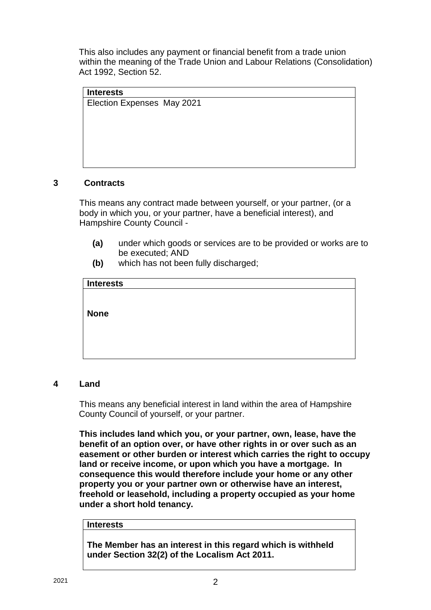This also includes any payment or financial benefit from a trade union within the meaning of the Trade Union and Labour Relations (Consolidation) Act 1992, Section 52.

**Interests** Election Expenses May 2021

# **3 Contracts**

This means any contract made between yourself, or your partner, (or a body in which you, or your partner, have a beneficial interest), and Hampshire County Council -

- **(a)** under which goods or services are to be provided or works are to be executed; AND
- **(b)** which has not been fully discharged;

| <b>Interests</b> |  |  |
|------------------|--|--|
|                  |  |  |
|                  |  |  |
| <b>None</b>      |  |  |
|                  |  |  |
|                  |  |  |
|                  |  |  |
|                  |  |  |
|                  |  |  |

### **4 Land**

This means any beneficial interest in land within the area of Hampshire County Council of yourself, or your partner.

**This includes land which you, or your partner, own, lease, have the benefit of an option over, or have other rights in or over such as an easement or other burden or interest which carries the right to occupy land or receive income, or upon which you have a mortgage. In consequence this would therefore include your home or any other property you or your partner own or otherwise have an interest, freehold or leasehold, including a property occupied as your home under a short hold tenancy.**

#### **Interests**

**The Member has an interest in this regard which is withheld under Section 32(2) of the Localism Act 2011.**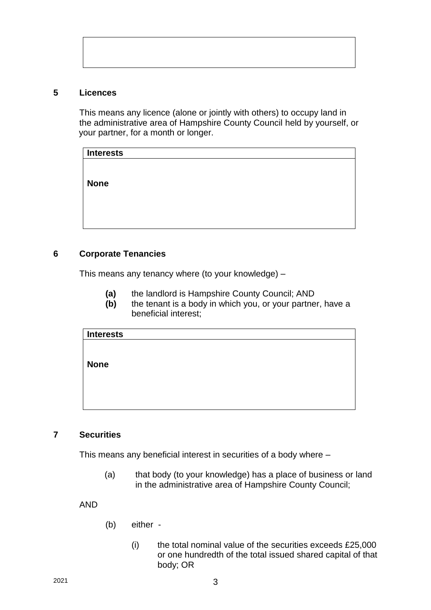#### **5 Licences**

This means any licence (alone or jointly with others) to occupy land in the administrative area of Hampshire County Council held by yourself, or your partner, for a month or longer.

| <b>Interests</b> |  |  |
|------------------|--|--|
|                  |  |  |
|                  |  |  |
| <b>None</b>      |  |  |
|                  |  |  |
|                  |  |  |
|                  |  |  |
|                  |  |  |
|                  |  |  |

# **6 Corporate Tenancies**

This means any tenancy where (to your knowledge) –

- **(a)** the landlord is Hampshire County Council; AND
- **(b)** the tenant is a body in which you, or your partner, have a beneficial interest;

| <b>Interests</b> |  |  |
|------------------|--|--|
|                  |  |  |
|                  |  |  |
| <b>None</b>      |  |  |
|                  |  |  |
|                  |  |  |
|                  |  |  |
|                  |  |  |
|                  |  |  |

### **7 Securities**

This means any beneficial interest in securities of a body where –

(a) that body (to your knowledge) has a place of business or land in the administrative area of Hampshire County Council;

AND

- (b) either
	- $(i)$  the total nominal value of the securities exceeds £25,000 or one hundredth of the total issued shared capital of that body; OR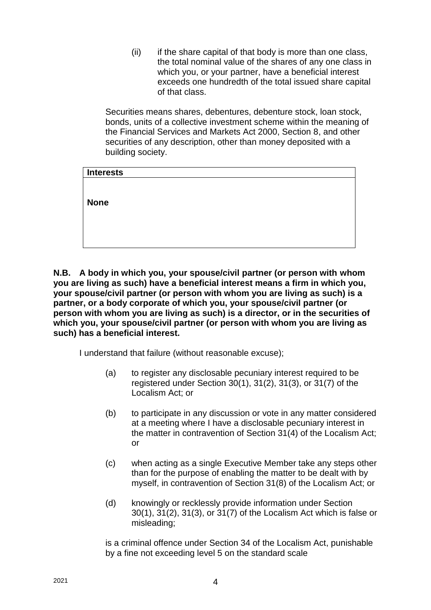(ii) if the share capital of that body is more than one class, the total nominal value of the shares of any one class in which you, or your partner, have a beneficial interest exceeds one hundredth of the total issued share capital of that class.

Securities means shares, debentures, debenture stock, loan stock, bonds, units of a collective investment scheme within the meaning of the Financial Services and Markets Act 2000, Section 8, and other securities of any description, other than money deposited with a building society.

| <b>Interests</b> |  |  |  |
|------------------|--|--|--|
|                  |  |  |  |
|                  |  |  |  |
| <b>None</b>      |  |  |  |
|                  |  |  |  |
|                  |  |  |  |
|                  |  |  |  |

**N.B. A body in which you, your spouse/civil partner (or person with whom you are living as such) have a beneficial interest means a firm in which you, your spouse/civil partner (or person with whom you are living as such) is a partner, or a body corporate of which you, your spouse/civil partner (or person with whom you are living as such) is a director, or in the securities of which you, your spouse/civil partner (or person with whom you are living as such) has a beneficial interest.**

I understand that failure (without reasonable excuse);

- (a) to register any disclosable pecuniary interest required to be registered under Section 30(1), 31(2), 31(3), or 31(7) of the Localism Act; or
- (b) to participate in any discussion or vote in any matter considered at a meeting where I have a disclosable pecuniary interest in the matter in contravention of Section 31(4) of the Localism Act; or
- (c) when acting as a single Executive Member take any steps other than for the purpose of enabling the matter to be dealt with by myself, in contravention of Section 31(8) of the Localism Act; or
- (d) knowingly or recklessly provide information under Section 30(1), 31(2), 31(3), or 31(7) of the Localism Act which is false or misleading;

is a criminal offence under Section 34 of the Localism Act, punishable by a fine not exceeding level 5 on the standard scale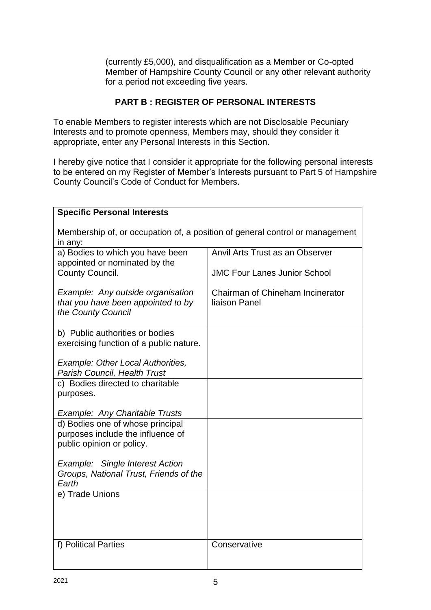(currently £5,000), and disqualification as a Member or Co-opted Member of Hampshire County Council or any other relevant authority for a period not exceeding five years.

# **PART B : REGISTER OF PERSONAL INTERESTS**

To enable Members to register interests which are not Disclosable Pecuniary Interests and to promote openness, Members may, should they consider it appropriate, enter any Personal Interests in this Section.

I hereby give notice that I consider it appropriate for the following personal interests to be entered on my Register of Member's Interests pursuant to Part 5 of Hampshire County Council's Code of Conduct for Members.

| <b>Specific Personal Interests</b>                                                                 |                                                                        |  |  |  |
|----------------------------------------------------------------------------------------------------|------------------------------------------------------------------------|--|--|--|
| Membership of, or occupation of, a position of general control or management<br>in any:            |                                                                        |  |  |  |
| a) Bodies to which you have been<br>appointed or nominated by the<br>County Council.               | Anvil Arts Trust as an Observer<br><b>JMC Four Lanes Junior School</b> |  |  |  |
| Example: Any outside organisation<br>that you have been appointed to by                            | Chairman of Chineham Incinerator<br>liaison Panel                      |  |  |  |
| the County Council                                                                                 |                                                                        |  |  |  |
| b) Public authorities or bodies<br>exercising function of a public nature.                         |                                                                        |  |  |  |
| <b>Example: Other Local Authorities,</b><br><b>Parish Council, Health Trust</b>                    |                                                                        |  |  |  |
| c) Bodies directed to charitable<br>purposes.                                                      |                                                                        |  |  |  |
| Example: Any Charitable Trusts                                                                     |                                                                        |  |  |  |
| d) Bodies one of whose principal<br>purposes include the influence of<br>public opinion or policy. |                                                                        |  |  |  |
| Example: Single Interest Action<br>Groups, National Trust, Friends of the<br>Earth                 |                                                                        |  |  |  |
| e) Trade Unions                                                                                    |                                                                        |  |  |  |
| f) Political Parties                                                                               | Conservative                                                           |  |  |  |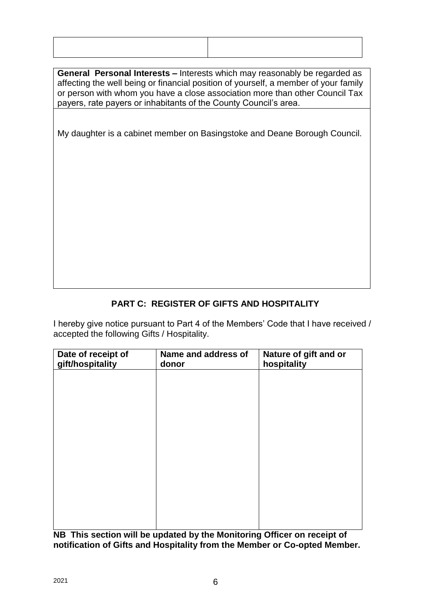**General Personal Interests –** Interests which may reasonably be regarded as affecting the well being or financial position of yourself, a member of your family or person with whom you have a close association more than other Council Tax payers, rate payers or inhabitants of the County Council's area.

My daughter is a cabinet member on Basingstoke and Deane Borough Council.

# **PART C: REGISTER OF GIFTS AND HOSPITALITY**

I hereby give notice pursuant to Part 4 of the Members' Code that I have received / accepted the following Gifts / Hospitality.

| Date of receipt of<br>gift/hospitality | Name and address of<br>donor | Nature of gift and or<br>hospitality |
|----------------------------------------|------------------------------|--------------------------------------|
|                                        |                              |                                      |
|                                        |                              |                                      |
|                                        |                              |                                      |
|                                        |                              |                                      |
|                                        |                              |                                      |
|                                        |                              |                                      |
|                                        |                              |                                      |
|                                        |                              |                                      |

**NB This section will be updated by the Monitoring Officer on receipt of notification of Gifts and Hospitality from the Member or Co-opted Member.**